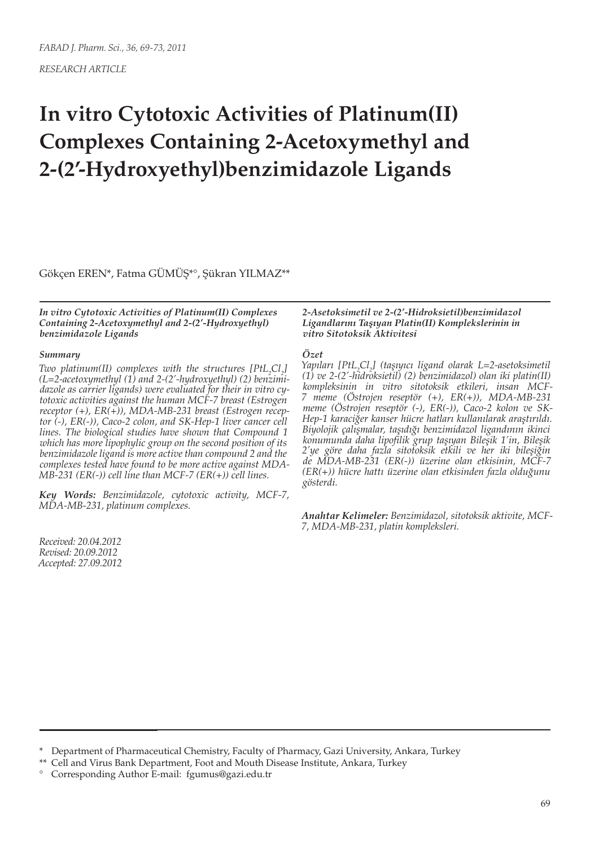*RESEARCH ARTICLE*

# **In vitro Cytotoxic Activities of Platinum(II) Complexes Containing 2-Acetoxymethyl and 2-(2'-Hydroxyethyl)benzimidazole Ligands**

Gökçen EREN\*, Fatma GÜMÜŞ\*°, Şükran YILMAZ\*\*

*In vitro Cytotoxic Activities of Platinum(II) Complexes Containing 2-Acetoxymethyl and 2-(2'-Hydroxyethyl) benzimidazole Ligands*

#### *Summary*

*Two platinum*(*II*) complexes with the structures  $[PtL_2Cl_2]$ *(L=2-acetoxymethyl (1) and 2-(2'-hydroxyethyl) (2) benzimidazole as carrier ligands) were evaluated for their in vitro cytotoxic activities against the human MCF-7 breast (Estrogen receptor (+), ER(+)), MDA-MB-231 breast (Estrogen receptor (-), ER(-)), Caco-2 colon, and SK-Hep-1 liver cancer cell lines. The biological studies have shown that Compound 1 which has more lipophylic group on the second position of its benzimidazole ligand is more active than compound 2 and the complexes tested have found to be more active against MDA-MB-231 (ER(-)) cell line than MCF-7 (ER(+)) cell lines.*

*Key Words: Benzimidazole, cytotoxic activity, MCF-7, MDA-MB-231, platinum complexes.*

*Received: 20.04.2012 Revised: 20.09.2012 Accepted: 27.09.2012*

#### *2-Asetoksimetil ve 2-(2'-Hidroksietil)benzimidazol Ligandlarını Taşıyan Platin(II) Komplekslerinin in vitro Sitotoksik Aktivitesi*

#### *Özet*

*Yapıları [PtL2 Cl2 ] (taşıyıcı ligand olarak L=2-asetoksimetil (1) ve 2-(2'-hidroksietil) (2) benzimidazol) olan iki platin(II) kompleksinin in vitro sitotoksik etkileri, insan MCF-7 meme (Östrojen reseptör (+), ER(+)), MDA-MB-231 meme (Östrojen reseptör (-), ER(-)), Caco-2 kolon ve SK-Hep-1 karaciğer kanser hücre hatları kullanılarak araştırıldı. Biyolojik çalışmalar, taşıdığı benzimidazol ligandının ikinci konumunda daha lipofilik grup taşıyan Bileşik 1'in, Bileşik 2'ye göre daha fazla sitotoksik etkili ve her iki bileşiğin de MDA-MB-231 (ER(-)) üzerine olan etkisinin, MCF-7 (ER(+)) hücre hattı üzerine olan etkisinden fazla olduğunu gösterdi.* 

*Anahtar Kelimeler: Benzimidazol, sitotoksik aktivite, MCF-7, MDA-MB-231, platin kompleksleri.*

<sup>\*</sup> Department of Pharmaceutical Chemistry, Faculty of Pharmacy, Gazi University, Ankara, Turkey

<sup>\*\*</sup> Cell and Virus Bank Department, Foot and Mouth Disease Institute, Ankara, Turkey

<sup>°</sup> Corresponding Author E-mail: fgumus@gazi.edu.tr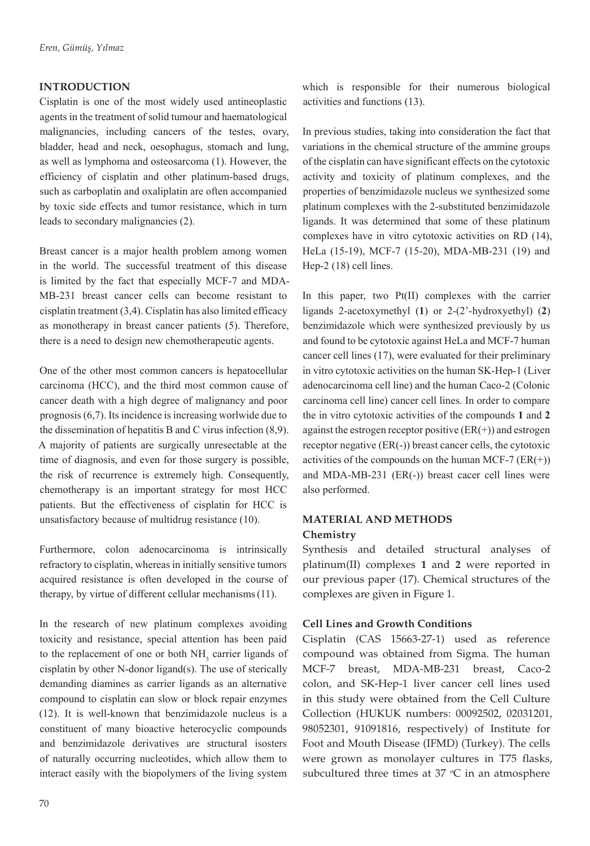## **INTRODUCTION**

Cisplatin is one of the most widely used antineoplastic agents in the treatment of solid tumour and haematological malignancies, including cancers of the testes, ovary, bladder, head and neck, oesophagus, stomach and lung, as well as lymphoma and osteosarcoma (1). However, the efficiency of cisplatin and other platinum-based drugs, such as carboplatin and oxaliplatin are often accompanied by toxic side effects and tumor resistance, which in turn leads to secondary malignancies (2).

Breast cancer is a major health problem among women in the world. The successful treatment of this disease is limited by the fact that especially MCF-7 and MDA-MB-231 breast cancer cells can become resistant to cisplatin treatment (3,4). Cisplatin has also limited efficacy as monotherapy in breast cancer patients (5). Therefore, there is a need to design new chemotherapeutic agents.

One of the other most common cancers is hepatocellular carcinoma (HCC), and the third most common cause of cancer death with a high degree of malignancy and poor prognosis (6,7). Its incidence is increasing worlwide due to the dissemination of hepatitis B and C virus infection (8,9). A majority of patients are surgically unresectable at the time of diagnosis, and even for those surgery is possible, the risk of recurrence is extremely high. Consequently, chemotherapy is an important strategy for most HCC patients. But the effectiveness of cisplatin for HCC is unsatisfactory because of multidrug resistance (10).

Furthermore, colon adenocarcinoma is intrinsically refractory to cisplatin, whereas in initially sensitive tumors acquired resistance is often developed in the course of therapy, by virtue of different cellular mechanisms(11).

In the research of new platinum complexes avoiding toxicity and resistance, special attention has been paid to the replacement of one or both  $NH<sub>3</sub>$  carrier ligands of cisplatin by other N-donor ligand(s). The use of sterically demanding diamines as carrier ligands as an alternative compound to cisplatin can slow or block repair enzymes (12). It is well-known that benzimidazole nucleus is a constituent of many bioactive heterocyclic compounds and benzimidazole derivatives are structural isosters of naturally occurring nucleotides, which allow them to interact easily with the biopolymers of the living system

which is responsible for their numerous biological activities and functions (13).

In previous studies, taking into consideration the fact that variations in the chemical structure of the ammine groups of the cisplatin can have significant effects on the cytotoxic activity and toxicity of platinum complexes, and the properties of benzimidazole nucleus we synthesized some platinum complexes with the 2-substituted benzimidazole ligands. It was determined that some of these platinum complexes have in vitro cytotoxic activities on RD (14), HeLa (15-19), MCF-7 (15-20), MDA-MB-231 (19) and Hep-2 (18) cell lines.

In this paper, two Pt(II) complexes with the carrier ligands 2-acetoxymethyl (**1**) or 2-(2'-hydroxyethyl) (**2**) benzimidazole which were synthesized previously by us and found to be cytotoxic against HeLa and MCF-7 human cancer cell lines (17), were evaluated for their preliminary in vitro cytotoxic activities on the human SK-Hep-1 (Liver adenocarcinoma cell line) and the human Caco-2 (Colonic carcinoma cell line) cancer cell lines. In order to compare the in vitro cytotoxic activities of the compounds **1** and **2** against the estrogen receptor positive  $(ER(+) )$  and estrogen receptor negative (ER(-)) breast cancer cells, the cytotoxic activities of the compounds on the human MCF-7  $(ER(+)$ ) and MDA-MB-231 (ER(-)) breast cacer cell lines were also performed.

## **MATERIAL AND METHODS Chemistry**

Synthesis and detailed structural analyses of platinum(II) complexes **1** and **2** were reported in our previous paper (17). Chemical structures of the complexes are given in Figure 1.

## **Cell Lines and Growth Conditions**

Cisplatin (CAS 15663-27-1) used as reference compound was obtained from Sigma. The human MCF-7 breast, MDA-MB-231 breast, Caco-2 colon, and SK-Hep-1 liver cancer cell lines used in this study were obtained from the Cell Culture Collection (HUKUK numbers: 00092502, 02031201, 98052301, 91091816, respectively) of Institute for Foot and Mouth Disease (IFMD) (Turkey). The cells were grown as monolayer cultures in T75 flasks, subcultured three times at  $37 \text{ °C}$  in an atmosphere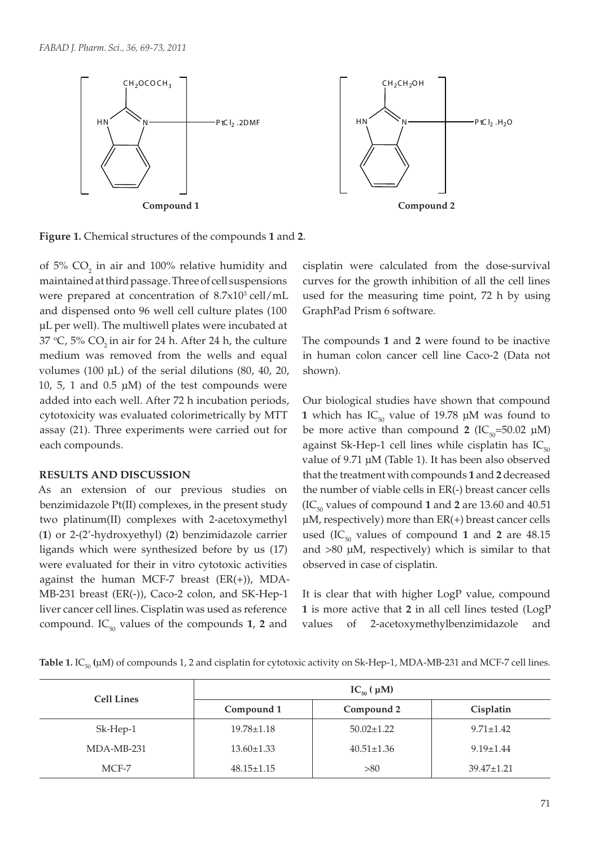

**Figure 1.** Chemical structures of the compounds **1** and **2**.

of 5%  $CO_2$  in air and 100% relative humidity and maintained at third passage. Three of cell suspensions were prepared at concentration of  $8.7 \times 10^3$  cell/mL and dispensed onto 96 well cell culture plates (100 µL per well). The multiwell plates were incubated at 37 °C, 5% CO<sub>2</sub> in air for 24 h. After 24 h, the culture medium was removed from the wells and equal volumes (100 µL) of the serial dilutions (80, 40, 20, 10, 5, 1 and 0.5  $\mu$ M) of the test compounds were added into each well. After 72 h incubation periods, cytotoxicity was evaluated colorimetrically by MTT assay (21). Three experiments were carried out for each compounds.

#### **RESULTS AND DISCUSSION**

As an extension of our previous studies on benzimidazole Pt(II) complexes, in the present study two platinum(II) complexes with 2-acetoxymethyl (**1**) or 2-(2'-hydroxyethyl) (**2**) benzimidazole carrier ligands which were synthesized before by us (17) were evaluated for their in vitro cytotoxic activities against the human MCF-7 breast  $(ER(+))$ , MDA-MB-231 breast (ER(-)), Caco-2 colon, and SK-Hep-1 liver cancer cell lines. Cisplatin was used as reference compound.  $IC_{50}$  values of the compounds **1**, **2** and

cisplatin were calculated from the dose-survival curves for the growth inhibition of all the cell lines used for the measuring time point, 72 h by using GraphPad Prism 6 software.

The compounds **1** and **2** were found to be inactive in human colon cancer cell line Caco-2 (Data not shown).

Our biological studies have shown that compound **1** which has  $IC_{50}$  value of 19.78  $\mu$ M was found to be more active than compound **2** (IC<sub>50</sub>=50.02  $\mu$ M) against Sk-Hep-1 cell lines while cisplatin has  $IC_{50}$ value of 9.71 µM (Table 1). It has been also observed that the treatment with compounds **1** and **2** decreased the number of viable cells in ER(-) breast cancer cells  $(IC_{50}$  values of compound 1 and 2 are 13.60 and 40.51 µM, respectively) more than ER(+) breast cancer cells used  $(IC_{50}$  values of compound 1 and 2 are  $48.15$ and  $>80$   $\mu$ M, respectively) which is similar to that observed in case of cisplatin.

It is clear that with higher LogP value, compound **1** is more active that **2** in all cell lines tested (LogP values of 2-acetoxymethylbenzimidazole and

| Table 1. IC <sub>50</sub> ( $\mu$ M) of compounds 1, 2 and cisplatin for cytotoxic activity on Sk-Hep-1, MDA-MB-231 and MCF-7 cell lines. |  |
|-------------------------------------------------------------------------------------------------------------------------------------------|--|
|-------------------------------------------------------------------------------------------------------------------------------------------|--|

| <b>Cell Lines</b> | $IC_{50}(\mu M)$ |                  |                  |  |
|-------------------|------------------|------------------|------------------|--|
|                   | Compound 1       | Compound 2       | Cisplatin        |  |
| Sk-Hep-1          | $19.78 \pm 1.18$ | $50.02 \pm 1.22$ | $9.71 \pm 1.42$  |  |
| $MDA-MB-231$      | $13.60 \pm 1.33$ | $40.51 \pm 1.36$ | $9.19 \pm 1.44$  |  |
| MCF-7             | $48.15 \pm 1.15$ | > 80             | $39.47 \pm 1.21$ |  |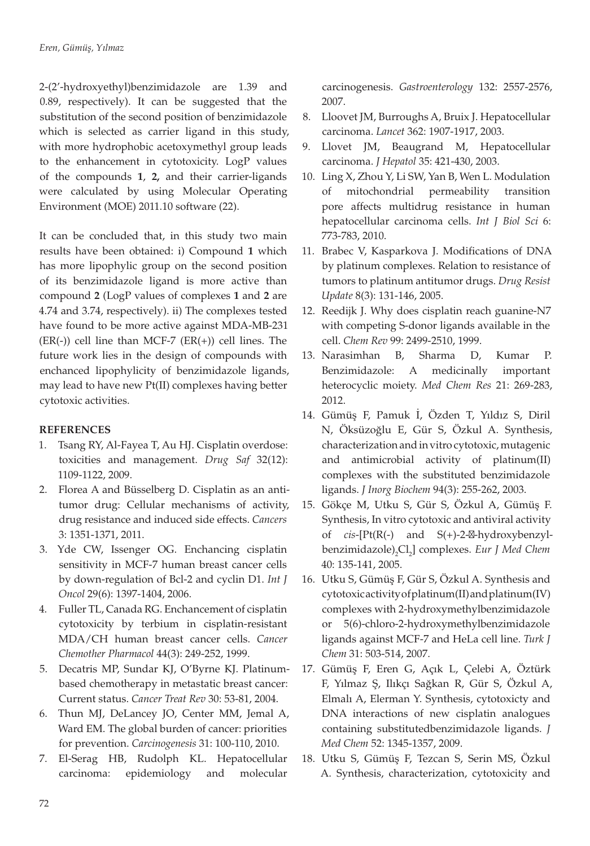2-(2'-hydroxyethyl)benzimidazole are 1.39 and 0.89, respectively). It can be suggested that the substitution of the second position of benzimidazole which is selected as carrier ligand in this study, with more hydrophobic acetoxymethyl group leads to the enhancement in cytotoxicity. LogP values of the compounds **1**, **2,** and their carrier-ligands were calculated by using Molecular Operating Environment (MOE) 2011.10 software (22).

It can be concluded that, in this study two main results have been obtained: i) Compound **1** which has more lipophylic group on the second position of its benzimidazole ligand is more active than compound **2** (LogP values of complexes **1** and **2** are 4.74 and 3.74, respectively). ii) The complexes tested have found to be more active against MDA-MB-231  $(ER(-))$  cell line than MCF-7  $(ER(+))$  cell lines. The future work lies in the design of compounds with enchanced lipophylicity of benzimidazole ligands, may lead to have new Pt(II) complexes having better cytotoxic activities.

## **REFERENCES**

- 1. Tsang RY, Al-Fayea T, Au HJ. Cisplatin overdose: toxicities and management. *Drug Saf* 32(12): 1109-1122, 2009.
- 2. Florea A and Büsselberg D. Cisplatin as an antitumor drug: Cellular mechanisms of activity, drug resistance and induced side effects. *Cancers* 3: 1351-1371, 2011.
- 3. Yde CW, Issenger OG. Enchancing cisplatin sensitivity in MCF-7 human breast cancer cells by down-regulation of Bcl-2 and cyclin D1. *Int J Oncol* 29(6): 1397-1404, 2006.
- 4. Fuller TL, Canada RG. Enchancement of cisplatin cytotoxicity by terbium in cisplatin-resistant MDA/CH human breast cancer cells. *Cancer Chemother Pharmacol* 44(3): 249-252, 1999.
- 5. Decatris MP, Sundar KJ, O'Byrne KJ. Platinumbased chemotherapy in metastatic breast cancer: Current status. *Cancer Treat Rev* 30: 53-81, 2004.
- 6. Thun MJ, DeLancey JO, Center MM, Jemal A, Ward EM. The global burden of cancer: priorities for prevention. *Carcinogenesis* 31: 100-110, 2010.
- 7. El-Serag HB, Rudolph KL. Hepatocellular carcinoma: epidemiology and molecular

carcinogenesis. *Gastroenterology* 132: 2557-2576, 2007.

- 8. Lloovet JM, Burroughs A, Bruix J. Hepatocellular carcinoma. *Lancet* 362: 1907-1917, 2003.
- 9. Llovet JM, Beaugrand M, Hepatocellular carcinoma. *J Hepatol* 35: 421-430, 2003.
- 10. Ling X, Zhou Y, Li SW, Yan B, Wen L. Modulation of mitochondrial permeability transition pore affects multidrug resistance in human hepatocellular carcinoma cells. *Int J Biol Sci* 6: 773-783, 2010.
- 11. Brabec V, Kasparkova J. Modifications of DNA by platinum complexes. Relation to resistance of tumors to platinum antitumor drugs. *Drug Resist Update* 8(3): 131-146, 2005.
- 12. Reedijk J. Why does cisplatin reach guanine-N7 with competing S-donor ligands available in the cell. *Chem Rev* 99: 2499-2510, 1999.
- 13. Narasimhan B, Sharma D, Kumar P. Benzimidazole: A medicinally important heterocyclic moiety. *Med Chem Res* 21: 269-283, 2012.
- 14. Gümüş F, Pamuk İ, Özden T, Yıldız S, Diril N, Öksüzoğlu E, Gür S, Özkul A. Synthesis, characterization and in vitro cytotoxic, mutagenic and antimicrobial activity of platinum(II) complexes with the substituted benzimidazole ligands. *J Inorg Biochem* 94(3): 255-262, 2003.
- 15. Gökçe M, Utku S, Gür S, Özkul A, Gümüş F. Synthesis, In vitro cytotoxic and antiviral activity of *cis*-[Pt(R(-) and S(+)-2- -hydroxybenzylbenzimidazole)<sub>2</sub>Cl<sub>2</sub>] complexes. *Eur J Med Chem* 40: 135-141, 2005.
- 16. Utku S, Gümüş F, Gür S, Özkul A. Synthesis and cytotoxic activity of platinum(II) and platinum(IV) complexes with 2-hydroxymethylbenzimidazole or 5(6)-chloro-2-hydroxymethylbenzimidazole ligands against MCF-7 and HeLa cell line. *Turk J Chem* 31: 503-514, 2007.
- 17. Gümüş F, Eren G, Açık L, Çelebi A, Öztürk F, Yılmaz Ş, Ilıkçı Sağkan R, Gür S, Özkul A, Elmalı A, Elerman Y. Synthesis, cytotoxicty and DNA interactions of new cisplatin analogues containing substitutedbenzimidazole ligands. *J Med Chem* 52: 1345-1357, 2009.
- 18. Utku S, Gümüş F, Tezcan S, Serin MS, Özkul A. Synthesis, characterization, cytotoxicity and